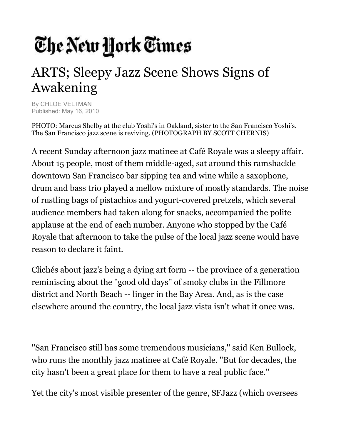## The New York Times

## ARTS; Sleepy Jazz Scene Shows Signs of Awakening

By CHLOE VELTMAN Published: May 16, 2010

PHOTO: Marcus Shelby at the club Yoshi's in Oakland, sister to the San Francisco Yoshi's. The San Francisco jazz scene is reviving. (PHOTOGRAPH BY SCOTT CHERNIS)

A recent Sunday afternoon jazz matinee at Café Royale was a sleepy affair. About 15 people, most of them middle-aged, sat around this ramshackle downtown San Francisco bar sipping tea and wine while a saxophone, drum and bass trio played a mellow mixture of mostly standards. The noise of rustling bags of pistachios and yogurt-covered pretzels, which several audience members had taken along for snacks, accompanied the polite applause at the end of each number. Anyone who stopped by the Café Royale that afternoon to take the pulse of the local jazz scene would have reason to declare it faint.

Clichés about jazz's being a dying art form -- the province of a generation reminiscing about the ''good old days'' of smoky clubs in the Fillmore district and North Beach -- linger in the Bay Area. And, as is the case elsewhere around the country, the local jazz vista isn't what it once was.

''San Francisco still has some tremendous musicians,'' said Ken Bullock, who runs the monthly jazz matinee at Café Royale. ''But for decades, the city hasn't been a great place for them to have a real public face.''

Yet the city's most visible presenter of the genre, SFJazz (which oversees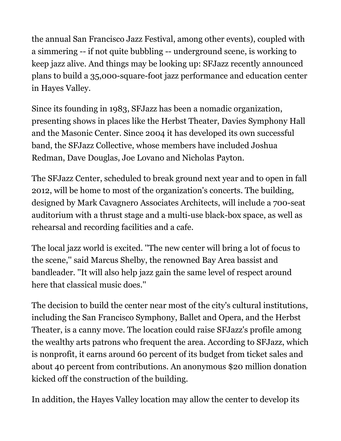the annual San Francisco Jazz Festival, among other events), coupled with a simmering -- if not quite bubbling -- underground scene, is working to keep jazz alive. And things may be looking up: SFJazz recently announced plans to build a 35,000-square-foot jazz performance and education center in Hayes Valley.

Since its founding in 1983, SFJazz has been a nomadic organization, presenting shows in places like the Herbst Theater, Davies Symphony Hall and the Masonic Center. Since 2004 it has developed its own successful band, the SFJazz Collective, whose members have included Joshua Redman, Dave Douglas, Joe Lovano and Nicholas Payton.

The SFJazz Center, scheduled to break ground next year and to open in fall 2012, will be home to most of the organization's concerts. The building, designed by Mark Cavagnero Associates Architects, will include a 700-seat auditorium with a thrust stage and a multi-use black-box space, as well as rehearsal and recording facilities and a cafe.

The local jazz world is excited. ''The new center will bring a lot of focus to the scene,'' said Marcus Shelby, the renowned Bay Area bassist and bandleader. ''It will also help jazz gain the same level of respect around here that classical music does.''

The decision to build the center near most of the city's cultural institutions, including the San Francisco Symphony, Ballet and Opera, and the Herbst Theater, is a canny move. The location could raise SFJazz's profile among the wealthy arts patrons who frequent the area. According to SFJazz, which is nonprofit, it earns around 60 percent of its budget from ticket sales and about 40 percent from contributions. An anonymous \$20 million donation kicked off the construction of the building.

In addition, the Hayes Valley location may allow the center to develop its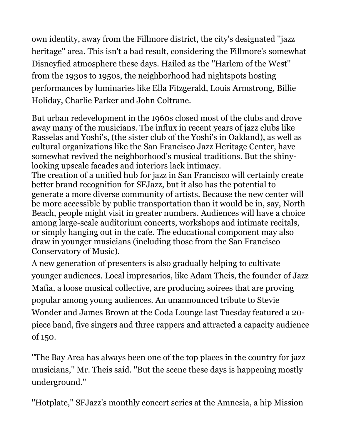own identity, away from the Fillmore district, the city's designated ''jazz heritage'' area. This isn't a bad result, considering the Fillmore's somewhat Disneyfied atmosphere these days. Hailed as the ''Harlem of the West'' from the 1930s to 1950s, the neighborhood had nightspots hosting performances by luminaries like Ella Fitzgerald, Louis Armstrong, Billie Holiday, Charlie Parker and John Coltrane.

But urban redevelopment in the 1960s closed most of the clubs and drove away many of the musicians. The influx in recent years of jazz clubs like Rasselas and Yoshi's, (the sister club of the Yoshi's in Oakland), as well as cultural organizations like the San Francisco Jazz Heritage Center, have somewhat revived the neighborhood's musical traditions. But the shinylooking upscale facades and interiors lack intimacy.

The creation of a unified hub for jazz in San Francisco will certainly create better brand recognition for SFJazz, but it also has the potential to generate a more diverse community of artists. Because the new center will be more accessible by public transportation than it would be in, say, North Beach, people might visit in greater numbers. Audiences will have a choice among large-scale auditorium concerts, workshops and intimate recitals, or simply hanging out in the cafe. The educational component may also draw in younger musicians (including those from the San Francisco Conservatory of Music).

A new generation of presenters is also gradually helping to cultivate younger audiences. Local impresarios, like Adam Theis, the founder of Jazz Mafia, a loose musical collective, are producing soirees that are proving popular among young audiences. An unannounced tribute to Stevie Wonder and James Brown at the Coda Lounge last Tuesday featured a 20 piece band, five singers and three rappers and attracted a capacity audience of 150.

''The Bay Area has always been one of the top places in the country for jazz musicians,'' Mr. Theis said. ''But the scene these days is happening mostly underground.''

''Hotplate,'' SFJazz's monthly concert series at the Amnesia, a hip Mission